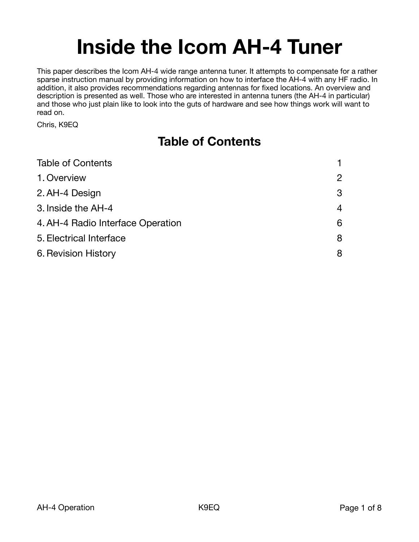# **Inside the Icom AH-4 Tuner**

This paper describes the Icom AH-4 wide range antenna tuner. It attempts to compensate for a rather sparse instruction manual by providing information on how to interface the AH-4 with any HF radio. In addition, it also provides recommendations regarding antennas for fixed locations. An overview and description is presented as well. Those who are interested in antenna tuners (the AH-4 in particular) and those who just plain like to look into the guts of hardware and see how things work will want to read on.

Chris, K9EQ

# <span id="page-0-0"></span>**Table of Contents**

| 2 |
|---|
| 3 |
| 4 |
| 6 |
| 8 |
| 8 |
|   |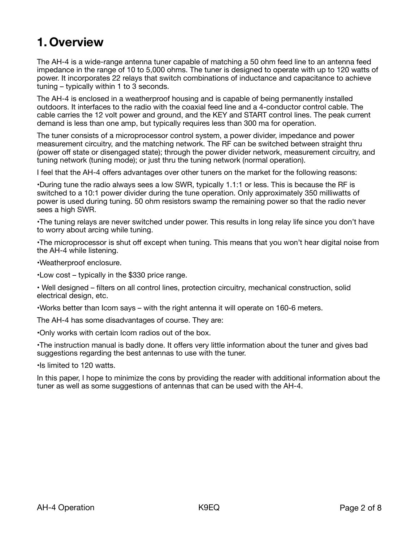### <span id="page-1-0"></span>**1. Overview**

The AH-4 is a wide-range antenna tuner capable of matching a 50 ohm feed line to an antenna feed impedance in the range of 10 to 5,000 ohms. The tuner is designed to operate with up to 120 watts of power. It incorporates 22 relays that switch combinations of inductance and capacitance to achieve tuning – typically within 1 to 3 seconds.

The AH-4 is enclosed in a weatherproof housing and is capable of being permanently installed outdoors. It interfaces to the radio with the coaxial feed line and a 4-conductor control cable. The cable carries the 12 volt power and ground, and the KEY and START control lines. The peak current demand is less than one amp, but typically requires less than 300 ma for operation.

The tuner consists of a microprocessor control system, a power divider, impedance and power measurement circuitry, and the matching network. The RF can be switched between straight thru (power off state or disengaged state); through the power divider network, measurement circuitry, and tuning network (tuning mode); or just thru the tuning network (normal operation).

I feel that the AH-4 offers advantages over other tuners on the market for the following reasons:

•During tune the radio always sees a low SWR, typically 1.1:1 or less. This is because the RF is switched to a 10:1 power divider during the tune operation. Only approximately 350 milliwatts of power is used during tuning. 50 ohm resistors swamp the remaining power so that the radio never sees a high SWR.

•The tuning relays are never switched under power. This results in long relay life since you don't have to worry about arcing while tuning.

•The microprocessor is shut off except when tuning. This means that you won't hear digital noise from the AH-4 while listening.

•Weatherproof enclosure.

•Low cost – typically in the \$330 price range.

• Well designed – filters on all control lines, protection circuitry, mechanical construction, solid electrical design, etc.

•Works better than Icom says – with the right antenna it will operate on 160-6 meters.

The AH-4 has some disadvantages of course. They are:

•Only works with certain Icom radios out of the box.

•The instruction manual is badly done. It offers very little information about the tuner and gives bad suggestions regarding the best antennas to use with the tuner.

•Is limited to 120 watts.

In this paper, I hope to minimize the cons by providing the reader with additional information about the tuner as well as some suggestions of antennas that can be used with the AH-4.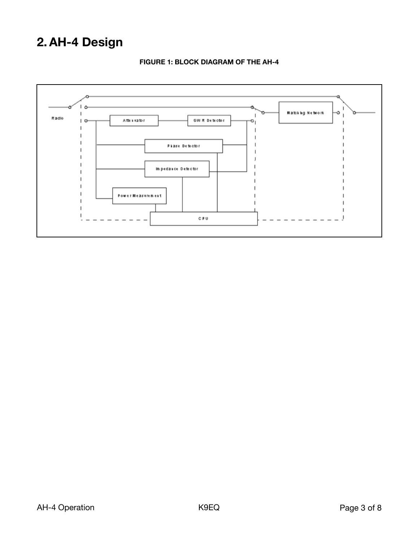## <span id="page-2-0"></span>**2.AH-4 Design**



### **FIGURE 1: BLOCK DIAGRAM OF THE AH-4**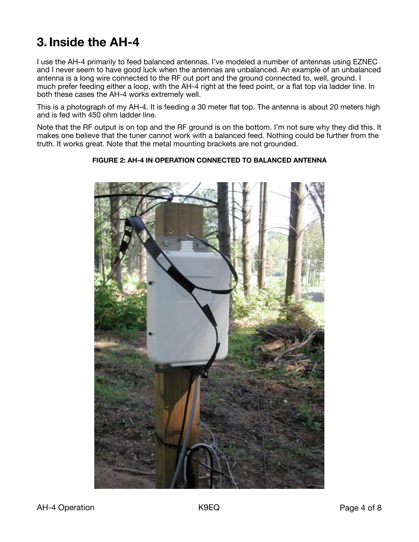### <span id="page-3-0"></span>**3. Inside the AH-4**

I use the AH-4 primarily to feed balanced antennas. I've modeled a number of antennas using EZNEC and I never seem to have good luck when the antennas are unbalanced. An example of an unbalanced antenna is a long wire connected to the RF out port and the ground connected to, well, ground. I much prefer feeding either a loop, with the AH-4 right at the feed point, or a flat top via ladder line. In both these cases the AH-4 works extremely well.

This is a photograph of my AH-4. It is feeding a 30 meter flat top. The antenna is about 20 meters high and is fed with 450 ohm ladder line.

Note that the RF output is on top and the RF ground is on the bottom. I'm not sure why they did this. It makes one believe that the tuner cannot work with a balanced feed. Nothing could be further from the truth. It works great. Note that the metal mounting brackets are not grounded.

### **FIGURE 2: AH-4 IN OPERATION CONNECTED TO BALANCED ANTENNA**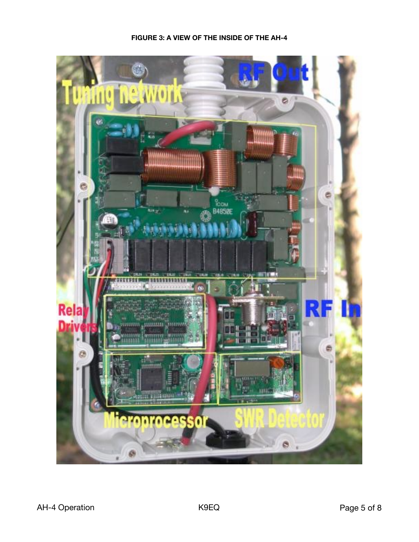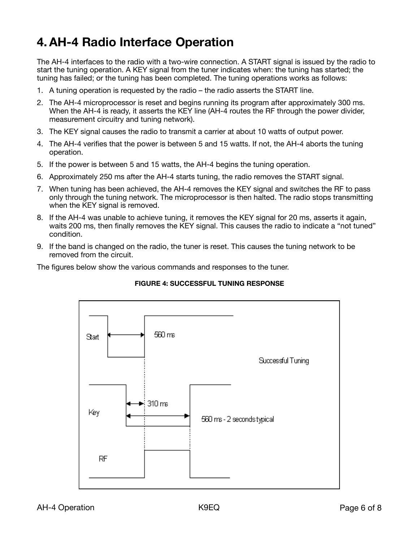### <span id="page-5-0"></span>**4.AH-4 Radio Interface Operation**

The AH-4 interfaces to the radio with a two-wire connection. A START signal is issued by the radio to start the tuning operation. A KEY signal from the tuner indicates when: the tuning has started; the tuning has failed; or the tuning has been completed. The tuning operations works as follows:

- 1. A tuning operation is requested by the radio the radio asserts the START line.
- 2. The AH-4 microprocessor is reset and begins running its program after approximately 300 ms. When the AH-4 is ready, it asserts the KEY line (AH-4 routes the RF through the power divider, measurement circuitry and tuning network).
- 3. The KEY signal causes the radio to transmit a carrier at about 10 watts of output power.
- 4. The AH-4 verifies that the power is between 5 and 15 watts. If not, the AH-4 aborts the tuning operation.
- 5. If the power is between 5 and 15 watts, the AH-4 begins the tuning operation.
- 6. Approximately 250 ms after the AH-4 starts tuning, the radio removes the START signal.
- 7. When tuning has been achieved, the AH-4 removes the KEY signal and switches the RF to pass only through the tuning network. The microprocessor is then halted. The radio stops transmitting when the KEY signal is removed.
- 8. If the AH-4 was unable to achieve tuning, it removes the KEY signal for 20 ms, asserts it again, waits 200 ms, then finally removes the KEY signal. This causes the radio to indicate a "not tuned" condition.
- 9. If the band is changed on the radio, the tuner is reset. This causes the tuning network to be removed from the circuit.

The figures below show the various commands and responses to the tuner.



### **FIGURE 4: SUCCESSFUL TUNING RESPONSE**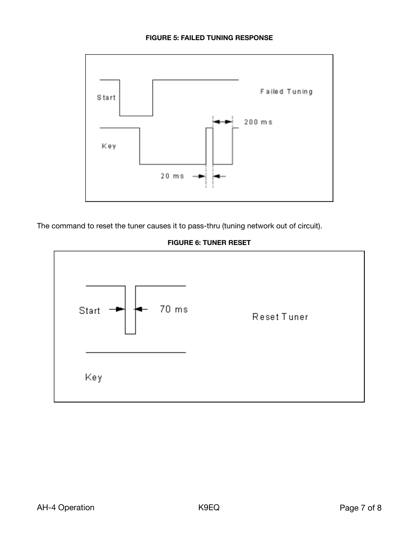

The command to reset the tuner causes it to pass-thru (tuning network out of circuit).